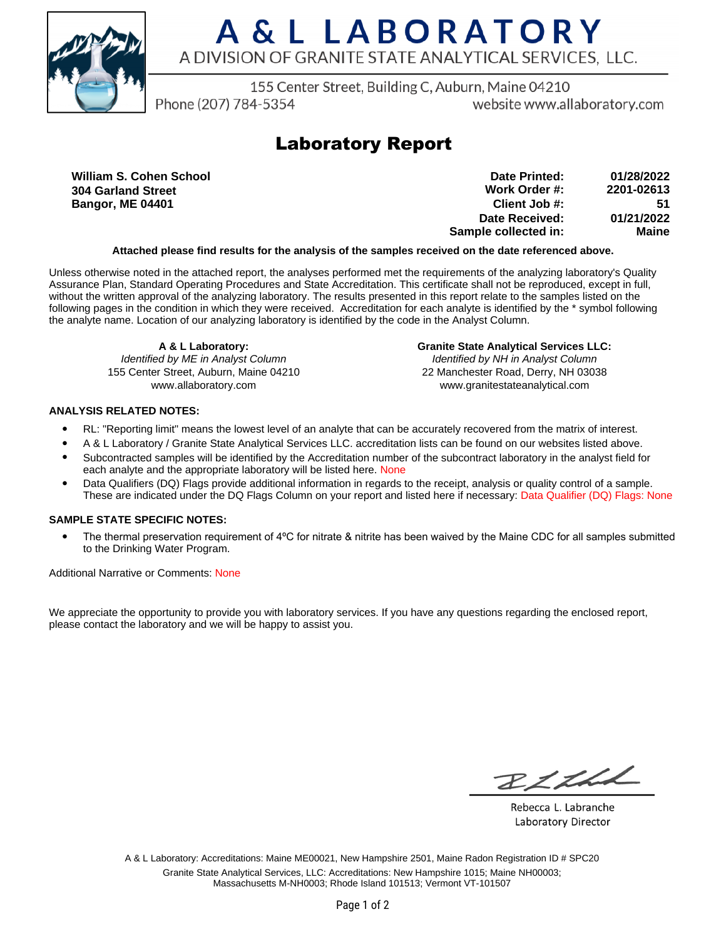

# A & L LABORATORY A DIVISION OF GRANITE STATE ANALYTICAL SERVICES. LLC.

155 Center Street, Building C, Auburn, Maine 04210

Phone (207) 784-5354

website www.allaboratory.com

## **Laboratory Report**

**William S. Cohen School 304 Garland Street Bangor, ME 04401**

| Date Printed:        | 01/28/2022 |
|----------------------|------------|
| Work Order #:        | 2201-02613 |
| Client Job #:        | 51         |
| Date Received:       | 01/21/2022 |
| Sample collected in: | Maine      |

### **Attached please find results for the analysis of the samples received on the date referenced above.**

Unless otherwise noted in the attached report, the analyses performed met the requirements of the analyzing laboratory's Quality Assurance Plan, Standard Operating Procedures and State Accreditation. This certificate shall not be reproduced, except in full, without the written approval of the analyzing laboratory. The results presented in this report relate to the samples listed on the following pages in the condition in which they were received. Accreditation for each analyte is identified by the \* symbol following the analyte name. Location of our analyzing laboratory is identified by the code in the Analyst Column.

**A & L Laboratory:** Identified by ME in Analyst Column 155 Center Street, Auburn, Maine 04210 www.allaboratory.com

**Granite State Analytical Services LLC:** Identified by NH in Analyst Column 22 Manchester Road, Derry, NH 03038 www.granitestateanalytical.com

### **ANALYSIS RELATED NOTES:**

- RL: "Reporting limit" means the lowest level of an analyte that can be accurately recovered from the matrix of interest.
- A & L Laboratory / Granite State Analytical Services LLC. accreditation lists can be found on our websites listed above.
- Subcontracted samples will be identified by the Accreditation number of the subcontract laboratory in the analyst field for each analyte and the appropriate laboratory will be listed here. None
- Data Qualifiers (DQ) Flags provide additional information in regards to the receipt, analysis or quality control of a sample. These are indicated under the DQ Flags Column on your report and listed here if necessary: Data Qualifier (DQ) Flags: None

### **SAMPLE STATE SPECIFIC NOTES:**

• The thermal preservation requirement of 4°C for nitrate & nitrite has been waived by the Maine CDC for all samples submitted to the Drinking Water Program.

Additional Narrative or Comments: None

We appreciate the opportunity to provide you with laboratory services. If you have any questions regarding the enclosed report, please contact the laboratory and we will be happy to assist you.

RICH

Rebecca L. Labranche Laboratory Director

A & L Laboratory: Accreditations: Maine ME00021, New Hampshire 2501, Maine Radon Registration ID # SPC20 Granite State Analytical Services, LLC: Accreditations: New Hampshire 1015; Maine NH00003; Massachusetts M-NH0003; Rhode Island 101513; Vermont VT-101507